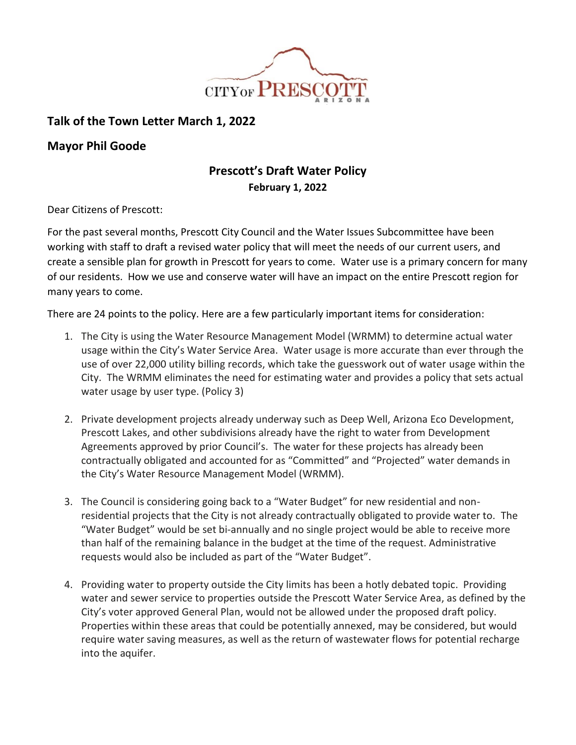

## **Talk of the Town Letter March 1, 2022**

## **Mayor Phil Goode**

## **Prescott's Draft Water Policy February 1, 2022**

Dear Citizens of Prescott:

For the past several months, Prescott City Council and the Water Issues Subcommittee have been working with staff to draft a revised water policy that will meet the needs of our current users, and create a sensible plan for growth in Prescott for years to come. Water use is a primary concern for many of our residents. How we use and conserve water will have an impact on the entire Prescott region for many years to come.

There are 24 points to the policy. Here are a few particularly important items for consideration:

- 1. The City is using the Water Resource Management Model (WRMM) to determine actual water usage within the City's Water Service Area. Water usage is more accurate than ever through the use of over 22,000 utility billing records, which take the guesswork out of water usage within the City. The WRMM eliminates the need for estimating water and provides a policy that sets actual water usage by user type. (Policy 3)
- 2. Private development projects already underway such as Deep Well, Arizona Eco Development, Prescott Lakes, and other subdivisions already have the right to water from Development Agreements approved by prior Council's. The water for these projects has already been contractually obligated and accounted for as "Committed" and "Projected" water demands in the City's Water Resource Management Model (WRMM).
- 3. The Council is considering going back to a "Water Budget" for new residential and nonresidential projects that the City is not already contractually obligated to provide water to. The "Water Budget" would be set bi-annually and no single project would be able to receive more than half of the remaining balance in the budget at the time of the request. Administrative requests would also be included as part of the "Water Budget".
- 4. Providing water to property outside the City limits has been a hotly debated topic. Providing water and sewer service to properties outside the Prescott Water Service Area, as defined by the City's voter approved General Plan, would not be allowed under the proposed draft policy. Properties within these areas that could be potentially annexed, may be considered, but would require water saving measures, as well as the return of wastewater flows for potential recharge into the aquifer.